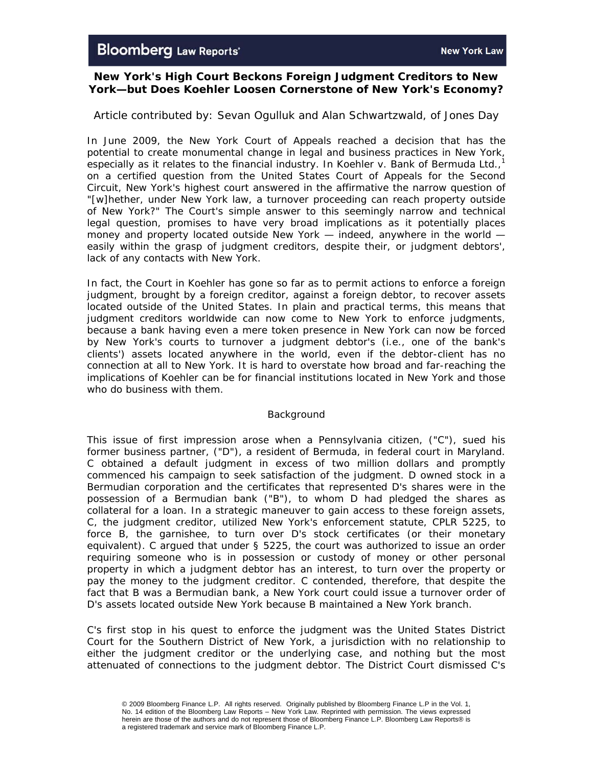# **New York's High Court Beckons Foreign Judgment Creditors to New York—but Does Koehler Loosen Cornerstone of New York's Economy?**

# *Article contributed by: Sevan Ogulluk and Alan Schwartzwald, of Jones Day*

In June 2009, the New York Court of Appeals reached a decision that has the potential to create monumental change in legal and business practices in New York, especially as it relates to the financial industry. In *Koehler v. Bank of Bermuda Ltd.*, 1 on a certified question from the United States Court of Appeals for the Second Circuit, New York's highest court answered in the affirmative the narrow question of "[w]hether, under New York law, a turnover proceeding can reach property outside of New York?" The Court's simple answer to this seemingly narrow and technical legal question, promises to have very broad implications as it potentially places money and property located outside New York — indeed, anywhere in the world easily within the grasp of judgment creditors, despite their, or judgment debtors', lack of any contacts with New York.

In fact, the Court in *Koehler* has gone so far as to permit actions to enforce a foreign judgment, brought by a foreign creditor, against a foreign debtor, to recover assets located outside of the United States. In plain and practical terms, this means that judgment creditors worldwide can now come to New York to enforce judgments, because a bank having even a mere token presence in New York can now be forced by New York's courts to turnover a judgment debtor's (i.e., one of the bank's clients') assets located anywhere in the world, even if the debtor-client has no connection at all to New York. It is hard to overstate how broad and far-reaching the implications of *Koehler* can be for financial institutions located in New York and those who do business with them.

### *Background*

This issue of first impression arose when a Pennsylvania citizen, ("C"), sued his former business partner, ("D"), a resident of Bermuda, in federal court in Maryland. C obtained a default judgment in excess of two million dollars and promptly commenced his campaign to seek satisfaction of the judgment. D owned stock in a Bermudian corporation and the certificates that represented D's shares were in the possession of a Bermudian bank ("B"), to whom D had pledged the shares as collateral for a loan. In a strategic maneuver to gain access to these foreign assets, C, the judgment creditor, utilized New York's enforcement statute, CPLR 5225, to force B, the garnishee, to turn over D's stock certificates (or their monetary equivalent). C argued that under § 5225, the court was authorized to issue an order requiring someone who is in possession or custody of money or other personal property in which a judgment debtor has an interest, to turn over the property or pay the money to the judgment creditor. C contended, therefore, that despite the fact that B was a Bermudian bank, a New York court could issue a turnover order of D's assets located outside New York because B maintained a New York branch.

C's first stop in his quest to enforce the judgment was the United States District Court for the Southern District of New York, a jurisdiction with no relationship to either the judgment creditor or the underlying case, and nothing but the most attenuated of connections to the judgment debtor. The District Court dismissed C's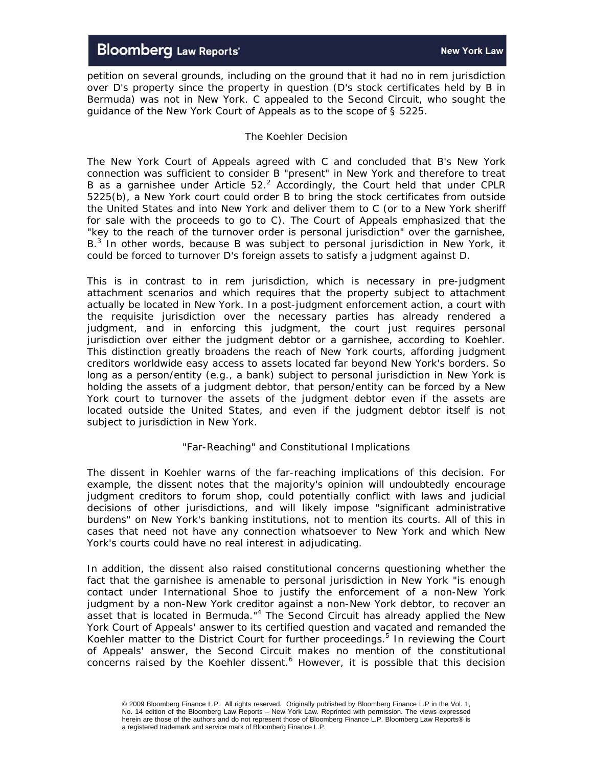petition on several grounds, including on the ground that it had no *in rem* jurisdiction over D's property since the property in question (D's stock certificates held by B in Bermuda) was not in New York. C appealed to the Second Circuit, who sought the guidance of the New York Court of Appeals as to the scope of § 5225.

# *The Koehler Decision*

The New York Court of Appeals agreed with C and concluded that B's New York connection was sufficient to consider B "present" in New York and therefore to treat B as a garnishee under Article  $52.<sup>2</sup>$  Accordingly, the Court held that under CPLR 5225(b), a New York court could order B to bring the stock certificates from outside the United States and into New York and deliver them to C (or to a New York sheriff for sale with the proceeds to go to C). The Court of Appeals emphasized that the "key to the reach of the turnover order is personal jurisdiction" over the garnishee, B.<sup>3</sup> In other words, because B was subject to personal jurisdiction in New York, it could be forced to turnover D's foreign assets to satisfy a judgment against D.

This is in contrast to *in rem* jurisdiction, which is necessary in pre-judgment attachment scenarios and which requires that the property subject to attachment actually be located in New York. In a post-judgment enforcement action, a court with the requisite jurisdiction over the necessary parties has already rendered a judgment, and in enforcing this judgment, the court just requires personal jurisdiction over either the judgment debtor or a garnishee, according to *Koehler*. This distinction greatly broadens the reach of New York courts, affording judgment creditors worldwide easy access to assets located far beyond New York's borders. So long as a person/entity (e.g., a bank) subject to personal jurisdiction in New York is holding the assets of a judgment debtor, that person/entity can be forced by a New York court to turnover the assets of the judgment debtor even if the assets are located outside the United States, and even if the judgment debtor itself is not subject to jurisdiction in New York.

### *"Far-Reaching" and Constitutional Implications*

The dissent in *Koehler* warns of the far-reaching implications of this decision. For example, the dissent notes that the majority's opinion will undoubtedly encourage judgment creditors to forum shop, could potentially conflict with laws and judicial decisions of other jurisdictions, and will likely impose "significant administrative burdens" on New York's banking institutions, not to mention its courts. All of this in cases that need not have any connection whatsoever to New York and which New York's courts could have no real interest in adjudicating.

In addition, the dissent also raised constitutional concerns questioning whether the fact that the garnishee is amenable to personal jurisdiction in New York "is enough contact under *International Shoe* to justify the enforcement of a non-New York judgment by a non-New York creditor against a non-New York debtor, to recover an asset that is located in Bermuda."<sup>4</sup> The Second Circuit has already applied the New York Court of Appeals' answer to its certified question and vacated and remanded the Koehler matter to the District Court for further proceedings.<sup>5</sup> In reviewing the Court of Appeals' answer, the Second Circuit makes no mention of the constitutional concerns raised by the *Koehler* dissent.<sup>6</sup> However, it is possible that this decision